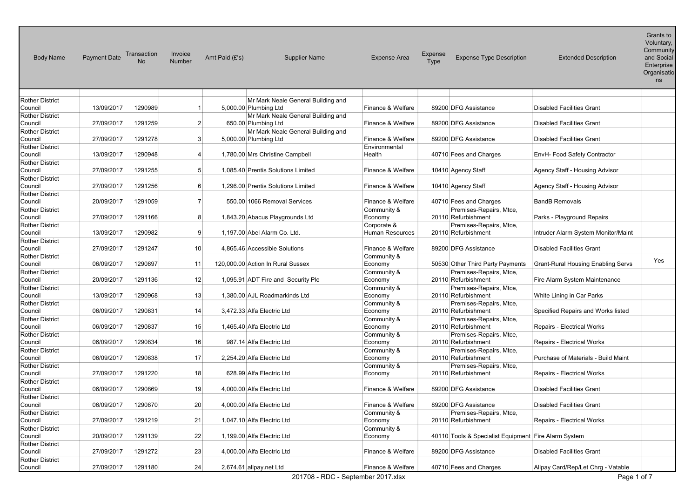| <b>Body Name</b>                  | <b>Payment Date</b> | Transaction<br><b>No</b> | Invoice<br>Number | Amt Paid (£'s)             | <b>Supplier Name</b>               | <b>Expense Area</b>    | Expense<br>Type | <b>Expense Type Description</b>                      | <b>Extended Description</b>               | Grants to<br>Voluntary,<br>Community<br>and Social<br>Enterprise<br>Organisatio<br>ns |
|-----------------------------------|---------------------|--------------------------|-------------------|----------------------------|------------------------------------|------------------------|-----------------|------------------------------------------------------|-------------------------------------------|---------------------------------------------------------------------------------------|
| <b>Rother District</b>            |                     |                          |                   |                            | Mr Mark Neale General Building and |                        |                 |                                                      |                                           |                                                                                       |
| Council                           | 13/09/2017          | 1290989                  | 1                 | 5,000.00 Plumbing Ltd      |                                    | Finance & Welfare      |                 | 89200 DFG Assistance                                 | <b>Disabled Facilities Grant</b>          |                                                                                       |
| <b>Rother District</b>            |                     |                          |                   |                            | Mr Mark Neale General Building and |                        |                 |                                                      |                                           |                                                                                       |
| Council                           | 27/09/2017          | 1291259                  | $\mathbf{2}$      | 650.00 Plumbing Ltd        |                                    | Finance & Welfare      |                 | 89200 DFG Assistance                                 | <b>Disabled Facilities Grant</b>          |                                                                                       |
| <b>Rother District</b>            |                     |                          |                   |                            | Mr Mark Neale General Building and |                        |                 |                                                      |                                           |                                                                                       |
| Council                           | 27/09/2017          | 1291278                  | 3 <sup>1</sup>    | 5,000.00 Plumbing Ltd      |                                    | Finance & Welfare      |                 | 89200 DFG Assistance                                 | <b>Disabled Facilities Grant</b>          |                                                                                       |
| <b>Rother District</b>            |                     |                          |                   |                            |                                    | Environmental          |                 |                                                      |                                           |                                                                                       |
| Council                           | 13/09/2017          | 1290948                  | 4                 |                            | 1,780.00 Mrs Christine Campbell    | Health                 |                 | 40710 Fees and Charges                               | EnvH- Food Safety Contractor              |                                                                                       |
| <b>Rother District</b>            |                     |                          |                   |                            |                                    |                        |                 |                                                      |                                           |                                                                                       |
| Council                           | 27/09/2017          | 1291255                  | 5 <sup>5</sup>    |                            | 1,085.40 Prentis Solutions Limited | Finance & Welfare      |                 | 10410 Agency Staff                                   | Agency Staff - Housing Advisor            |                                                                                       |
| <b>Rother District</b>            |                     |                          |                   |                            |                                    |                        |                 |                                                      |                                           |                                                                                       |
| Council                           | 27/09/2017          | 1291256                  | $6 \mid$          |                            | 1,296.00 Prentis Solutions Limited | Finance & Welfare      |                 | 10410 Agency Staff                                   | Agency Staff - Housing Advisor            |                                                                                       |
| <b>Rother District</b>            |                     |                          |                   |                            |                                    |                        |                 |                                                      |                                           |                                                                                       |
| Council                           | 20/09/2017          | 1291059                  | $\mathbf{7}$      |                            | 550.00 1066 Removal Services       | Finance & Welfare      |                 | 40710 Fees and Charges                               | <b>BandB Removals</b>                     |                                                                                       |
| <b>Rother District</b>            |                     |                          |                   |                            |                                    | Community &            |                 | Premises-Repairs, Mtce,                              |                                           |                                                                                       |
| Council                           | 27/09/2017          | 1291166                  | 8                 |                            | 1,843.20 Abacus Playgrounds Ltd    | Economy                |                 | 20110 Refurbishment                                  | Parks - Playground Repairs                |                                                                                       |
| <b>Rother District</b>            |                     |                          |                   |                            |                                    | Corporate &            |                 | Premises-Repairs, Mtce,                              |                                           |                                                                                       |
| Council                           | 13/09/2017          | 1290982                  | 9                 |                            | 1,197.00 Abel Alarm Co. Ltd.       | <b>Human Resources</b> |                 | 20110 Refurbishment                                  | Intruder Alarm System Monitor/Maint       |                                                                                       |
| <b>Rother District</b>            |                     |                          |                   |                            |                                    |                        |                 |                                                      |                                           |                                                                                       |
| Council                           | 27/09/2017          | 1291247                  | 10 <sup>1</sup>   |                            | 4,865.46 Accessible Solutions      | Finance & Welfare      |                 | 89200 DFG Assistance                                 | <b>Disabled Facilities Grant</b>          |                                                                                       |
| <b>Rother District</b>            |                     |                          |                   |                            |                                    | Community &            |                 |                                                      |                                           | Yes                                                                                   |
| Council                           | 06/09/2017          | 1290897                  | 11                |                            | 120,000.00 Action In Rural Sussex  | Economy                |                 | 50530 Other Third Party Payments                     | <b>Grant-Rural Housing Enabling Servs</b> |                                                                                       |
| <b>Rother District</b>            |                     |                          |                   |                            |                                    | Community &            |                 | Premises-Repairs, Mtce,                              |                                           |                                                                                       |
| Council                           | 20/09/2017          | 1291136                  | 12                |                            | 1,095.91 ADT Fire and Security Plc | Economy                |                 | 20110 Refurbishment                                  | Fire Alarm System Maintenance             |                                                                                       |
| <b>Rother District</b>            |                     |                          |                   |                            |                                    | Community &            |                 | Premises-Repairs, Mtce,                              |                                           |                                                                                       |
| Council                           | 13/09/2017          | 1290968                  | 13                |                            | 1,380.00 AJL Roadmarkinds Ltd      | Economy                |                 | 20110 Refurbishment                                  | White Lining in Car Parks                 |                                                                                       |
| <b>Rother District</b>            |                     |                          |                   |                            |                                    | Community &            |                 | Premises-Repairs, Mtce,                              |                                           |                                                                                       |
| Council                           | 06/09/2017          | 1290831                  | 14                | 3,472.33 Alfa Electric Ltd |                                    | Economy                |                 | 20110 Refurbishment                                  | Specified Repairs and Works listed        |                                                                                       |
| <b>Rother District</b>            |                     | 1290837                  |                   |                            |                                    | Community &            |                 | Premises-Repairs, Mtce,                              |                                           |                                                                                       |
| Council                           | 06/09/2017          |                          | 15                | 1,465.40 Alfa Electric Ltd |                                    | Economy                |                 | 20110 Refurbishment                                  | Repairs - Electrical Works                |                                                                                       |
| <b>Rother District</b><br>Council | 06/09/2017          | 1290834                  | 16                |                            | 987.14 Alfa Electric Ltd           | Community &            |                 | Premises-Repairs, Mtce,<br>20110 Refurbishment       |                                           |                                                                                       |
|                                   |                     |                          |                   |                            |                                    | Economy                |                 |                                                      | Repairs - Electrical Works                |                                                                                       |
| <b>Rother District</b><br>Council | 06/09/2017          | 1290838                  | 17                | 2,254.20 Alfa Electric Ltd |                                    | Community &<br>Economy |                 | Premises-Repairs, Mtce,<br>20110 Refurbishment       | Purchase of Materials - Build Maint       |                                                                                       |
| <b>Rother District</b>            |                     |                          |                   |                            |                                    | Community &            |                 | Premises-Repairs, Mtce,                              |                                           |                                                                                       |
| Council                           | 27/09/2017          | 1291220                  | 18                |                            | 628.99 Alfa Electric Ltd           | Economy                |                 | 20110 Refurbishment                                  | Repairs - Electrical Works                |                                                                                       |
| <b>Rother District</b>            |                     |                          |                   |                            |                                    |                        |                 |                                                      |                                           |                                                                                       |
| Council                           | 06/09/2017          | 1290869                  | 19                | 4,000.00 Alfa Electric Ltd |                                    | Finance & Welfare      |                 | 89200 DFG Assistance                                 | <b>Disabled Facilities Grant</b>          |                                                                                       |
| <b>Rother District</b>            |                     |                          |                   |                            |                                    |                        |                 |                                                      |                                           |                                                                                       |
| Council                           | 06/09/2017          | 1290870                  | 20                | 4,000.00 Alfa Electric Ltd |                                    | Finance & Welfare      |                 | 89200 DFG Assistance                                 | <b>Disabled Facilities Grant</b>          |                                                                                       |
| <b>Rother District</b>            |                     |                          |                   |                            |                                    | Community &            |                 | Premises-Repairs, Mtce,                              |                                           |                                                                                       |
| Council                           | 27/09/2017          | 1291219                  | 21                | 1,047.10 Alfa Electric Ltd |                                    | Economy                |                 | 20110 Refurbishment                                  | Repairs - Electrical Works                |                                                                                       |
| <b>Rother District</b>            |                     |                          |                   |                            |                                    | Community &            |                 |                                                      |                                           |                                                                                       |
| Council                           | 20/09/2017          | 1291139                  | 22                | 1,199.00 Alfa Electric Ltd |                                    | Economy                |                 | 40110 Tools & Specialist Equipment Fire Alarm System |                                           |                                                                                       |
| <b>Rother District</b>            |                     |                          |                   |                            |                                    |                        |                 |                                                      |                                           |                                                                                       |
| Council                           | 27/09/2017          | 1291272                  | 23                | 4,000.00 Alfa Electric Ltd |                                    | Finance & Welfare      |                 | 89200 DFG Assistance                                 | <b>Disabled Facilities Grant</b>          |                                                                                       |
| <b>Rother District</b>            |                     |                          |                   |                            |                                    |                        |                 |                                                      |                                           |                                                                                       |
| Council                           | 27/09/2017          | 1291180                  | 24                | 2,674.61 allpay.net Ltd    |                                    | Finance & Welfare      |                 | 40710 Fees and Charges                               | Allpay Card/Rep/Let Chrg - Vatable        |                                                                                       |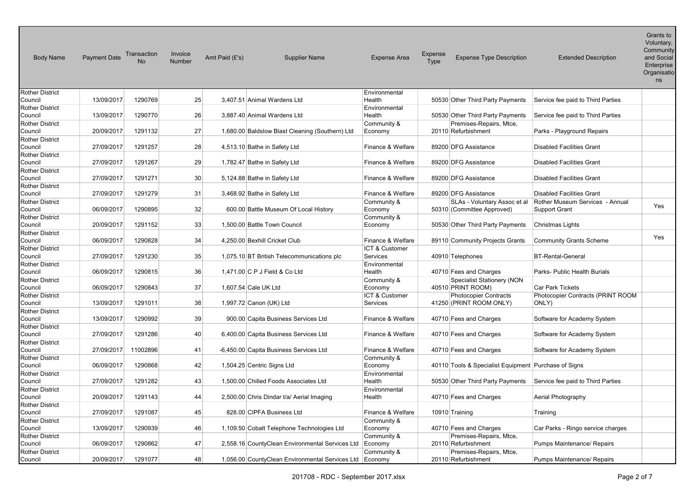| <b>Body Name</b>                  | <b>Payment Date</b> | Transaction<br>Nο | Invoice<br>Number | Amt Paid (£'s) | <b>Supplier Name</b>                            | <b>Expense Area</b>               | Expense<br>Type | <b>Expense Type Description</b>                             | <b>Extended Description</b>                             | Grants to<br>Voluntary,<br>Community<br>and Social<br>Enterprise<br>Organisatio<br>ns |
|-----------------------------------|---------------------|-------------------|-------------------|----------------|-------------------------------------------------|-----------------------------------|-----------------|-------------------------------------------------------------|---------------------------------------------------------|---------------------------------------------------------------------------------------|
| <b>Rother District</b>            |                     |                   |                   |                |                                                 | Environmental                     |                 |                                                             |                                                         |                                                                                       |
| Council                           | 13/09/2017          | 1290769           | 25                |                | 3,407.51 Animal Wardens Ltd                     | Health                            |                 | 50530 Other Third Party Payments                            | Service fee paid to Third Parties                       |                                                                                       |
| <b>Rother District</b><br>Council | 13/09/2017          | 1290770           | 26                |                | 3,887.40 Animal Wardens Ltd                     | Environmental<br>Health           |                 | 50530 Other Third Party Payments                            | Service fee paid to Third Parties                       |                                                                                       |
| <b>Rother District</b><br>Council | 20/09/2017          | 1291132           | 27                |                | 1,680.00 Baldslow Blast Cleaning (Southern) Ltd | Community &<br>Economy            |                 | Premises-Repairs, Mtce,<br>20110 Refurbishment              | Parks - Playground Repairs                              |                                                                                       |
| <b>Rother District</b>            |                     |                   |                   |                |                                                 |                                   |                 |                                                             |                                                         |                                                                                       |
| Council                           | 27/09/2017          | 1291257           | 28                |                | 4,513.10 Bathe in Safety Ltd                    | Finance & Welfare                 |                 | 89200 DFG Assistance                                        | <b>Disabled Facilities Grant</b>                        |                                                                                       |
| <b>Rother District</b><br>Council | 27/09/2017          | 1291267           | 29                |                | 1,782.47 Bathe in Safety Ltd                    | Finance & Welfare                 |                 | 89200 DFG Assistance                                        | <b>Disabled Facilities Grant</b>                        |                                                                                       |
| <b>Rother District</b><br>Council | 27/09/2017          | 1291271           | 30 <sup>2</sup>   |                | 5,124.88 Bathe in Safety Ltd                    | Finance & Welfare                 |                 | 89200 DFG Assistance                                        | <b>Disabled Facilities Grant</b>                        |                                                                                       |
| <b>Rother District</b>            |                     |                   |                   |                |                                                 |                                   |                 |                                                             |                                                         |                                                                                       |
| Council                           | 27/09/2017          | 1291279           | 31                |                | 3,468.92 Bathe in Safety Ltd                    | Finance & Welfare                 |                 | 89200 DFG Assistance                                        | <b>Disabled Facilities Grant</b>                        |                                                                                       |
| <b>Rother District</b><br>Council | 06/09/2017          | 1290895           | 32                |                | 600.00 Battle Museum Of Local History           | Community &<br>Economy            |                 | SLAs - Voluntary Assoc et al<br>50310 (Committee Approved)  | Rother Museum Services - Annual<br><b>Support Grant</b> | Yes                                                                                   |
| <b>Rother District</b><br>Council | 20/09/2017          | 1291152           | 33                |                | 1,500.00 Battle Town Council                    | Community &<br>Economy            |                 | 50530 Other Third Party Payments                            | Christmas Lights                                        |                                                                                       |
| <b>Rother District</b>            |                     |                   |                   |                |                                                 |                                   |                 |                                                             |                                                         |                                                                                       |
| Council                           | 06/09/2017          | 1290828           | 34                |                | 4,250.00 Bexhill Cricket Club                   | Finance & Welfare                 |                 | 89110 Community Projects Grants                             | <b>Community Grants Scheme</b>                          | Yes                                                                                   |
| <b>Rother District</b><br>Council | 27/09/2017          | 1291230           | 35                |                | 1,075.10 BT British Telecommunications plc      | ICT & Customer<br><b>Services</b> |                 | 40910 Telephones                                            | <b>BT-Rental-General</b>                                |                                                                                       |
| <b>Rother District</b>            |                     |                   |                   |                |                                                 | Environmental                     |                 |                                                             |                                                         |                                                                                       |
| Council<br><b>Rother District</b> | 06/09/2017          | 1290815           | 36                |                | 1,471.00 C P J Field & Co Ltd                   | Health<br>Community &             |                 | 40710 Fees and Charges<br><b>Specialist Stationery (NON</b> | Parks- Public Health Burials                            |                                                                                       |
| Council                           | 06/09/2017          | 1290843           | 37                |                | 1,607.54 Cale UK Ltd                            | Economy                           |                 | 40510 PRINT ROOM)                                           | Car Park Tickets                                        |                                                                                       |
| <b>Rother District</b><br>Council | 13/09/2017          | 1291011           | 38                |                | 1,997.72 Canon (UK) Ltd                         | ICT & Customer<br>Services        |                 | <b>Photocopier Contracts</b><br>41250 (PRINT ROOM ONLY)     | Photocopier Contracts (PRINT ROOM<br>ONLY)              |                                                                                       |
| <b>Rother District</b><br>Council | 13/09/2017          | 1290992           | 39                |                | 900.00 Capita Business Services Ltd             | Finance & Welfare                 |                 | 40710 Fees and Charges                                      | Software for Academy System                             |                                                                                       |
| <b>Rother District</b>            |                     |                   |                   |                |                                                 |                                   |                 |                                                             |                                                         |                                                                                       |
| Council                           | 27/09/2017          | 1291286           | 40                |                | 6,400.00 Capita Business Services Ltd           | Finance & Welfare                 |                 | 40710 Fees and Charges                                      | Software for Academy System                             |                                                                                       |
| <b>Rother District</b>            |                     |                   |                   |                |                                                 |                                   |                 |                                                             |                                                         |                                                                                       |
| Council                           | 27/09/2017          | 11002896          | 41                |                | -6,450.00 Capita Business Services Ltd          | Finance & Welfare                 |                 | 40710 Fees and Charges                                      | Software for Academy System                             |                                                                                       |
| <b>Rother District</b><br>Council | 06/09/2017          | 1290868           | 42                |                | 1,504.25 Centric Signs Ltd                      | Community &<br>Economy            |                 | 40110 Tools & Specialist Equipment Purchase of Signs        |                                                         |                                                                                       |
| <b>Rother District</b><br>Council | 27/09/2017          | 1291282           | 43                |                | 1,500.00 Chilled Foods Associates Ltd           | Environmental<br>Health           |                 | 50530 Other Third Party Payments                            | Service fee paid to Third Parties                       |                                                                                       |
| <b>Rother District</b>            |                     |                   |                   |                |                                                 | Environmental                     |                 |                                                             |                                                         |                                                                                       |
| Council                           | 20/09/2017          | 1291143           | 44                |                | 2,500.00 Chris Dindar t/a/ Aerial Imaging       | Health                            |                 | 40710 Fees and Charges                                      | Aerial Photography                                      |                                                                                       |
| <b>Rother District</b><br>Council | 27/09/2017          | 1291087           | 45                |                | 828.00 CIPFA Business Ltd                       | Finance & Welfare                 |                 | 10910 Training                                              | Training                                                |                                                                                       |
| <b>Rother District</b>            |                     |                   |                   |                |                                                 | Community &                       |                 |                                                             |                                                         |                                                                                       |
| Council                           | 13/09/2017          | 1290939           | 46                |                | 1,109.50 Cobalt Telephone Technologies Ltd      | Economy                           |                 | 40710 Fees and Charges                                      | Car Parks - Ringo service charges                       |                                                                                       |
| <b>Rother District</b><br>Council | 06/09/2017          | 1290862           | 47                |                | 2,558.16 CountyClean Environmental Services Ltd | Community &<br>Economy            |                 | Premises-Repairs, Mtce,<br>20110 Refurbishment              | Pumps Maintenance/ Repairs                              |                                                                                       |
| <b>Rother District</b>            | 20/09/2017          | 1291077           | 48                |                |                                                 | Community &                       |                 | Premises-Repairs, Mtce,                                     |                                                         |                                                                                       |
| Council                           |                     |                   |                   |                | 1,056.00 CountyClean Environmental Services Ltd | Economy                           |                 | 20110 Refurbishment                                         | Pumps Maintenance/ Repairs                              |                                                                                       |

Grants to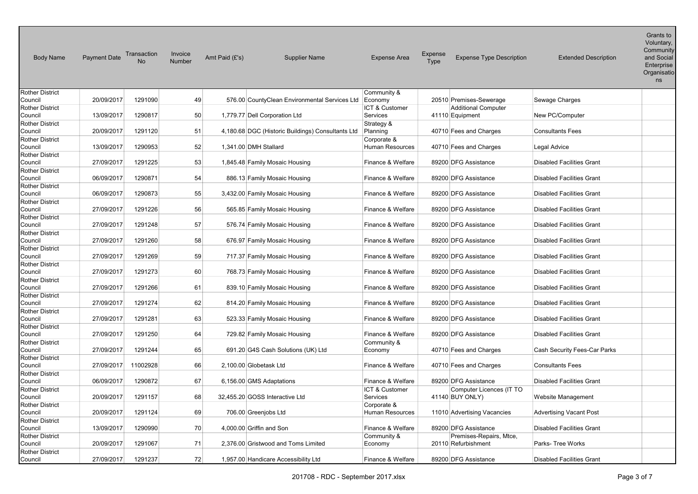| <b>Body Name</b>       | <b>Payment Date</b> | Transaction<br><b>No</b> | Invoice<br>Number | Amt Paid (£'s)           | <b>Supplier Name</b>                              | <b>Expense Area</b>       | Expense<br>Type | <b>Expense Type Description</b> | <b>Extended Description</b>      | Grants to<br>Voluntary,<br>Community<br>and Social<br>Enterprise<br>Organisatio<br>ns |
|------------------------|---------------------|--------------------------|-------------------|--------------------------|---------------------------------------------------|---------------------------|-----------------|---------------------------------|----------------------------------|---------------------------------------------------------------------------------------|
| <b>Rother District</b> |                     |                          |                   |                          |                                                   | Community &               |                 |                                 |                                  |                                                                                       |
| Council                | 20/09/2017          | 1291090                  | 49                |                          | 576.00 CountyClean Environmental Services Ltd     | Economy                   |                 | 20510 Premises-Sewerage         | Sewage Charges                   |                                                                                       |
| <b>Rother District</b> |                     |                          |                   |                          |                                                   | <b>ICT &amp; Customer</b> |                 | <b>Additional Computer</b>      |                                  |                                                                                       |
| Council                | 13/09/2017          | 1290817                  | 50                |                          | 1,779.77 Dell Corporation Ltd                     | Services                  |                 | 41110 Equipment                 | New PC/Computer                  |                                                                                       |
| <b>Rother District</b> |                     |                          |                   |                          |                                                   | Strategy &                |                 |                                 |                                  |                                                                                       |
| Council                | 20/09/2017          | 1291120                  | 51                |                          | 4,180.68 DGC (Historic Buildings) Consultants Ltd | Planning                  |                 | 40710 Fees and Charges          | <b>Consultants Fees</b>          |                                                                                       |
| <b>Rother District</b> |                     |                          |                   |                          |                                                   | Corporate &               |                 |                                 |                                  |                                                                                       |
| Council                | 13/09/2017          | 1290953                  | 52                | 1,341.00 DMH Stallard    |                                                   | <b>Human Resources</b>    |                 | 40710 Fees and Charges          | Legal Advice                     |                                                                                       |
| <b>Rother District</b> |                     |                          |                   |                          |                                                   |                           |                 |                                 |                                  |                                                                                       |
| Council                | 27/09/2017          | 1291225                  | 53                |                          | 1,845.48 Family Mosaic Housing                    | Finance & Welfare         |                 | 89200 DFG Assistance            | <b>Disabled Facilities Grant</b> |                                                                                       |
| Rother District        |                     |                          |                   |                          |                                                   |                           |                 |                                 |                                  |                                                                                       |
| Council                | 06/09/2017          | 1290871                  | 54                |                          | 886.13 Family Mosaic Housing                      | Finance & Welfare         |                 | 89200 DFG Assistance            | <b>Disabled Facilities Grant</b> |                                                                                       |
| Rother District        |                     |                          |                   |                          |                                                   |                           |                 |                                 |                                  |                                                                                       |
| Council                | 06/09/2017          | 1290873                  | 55                |                          | 3,432.00 Family Mosaic Housing                    | Finance & Welfare         |                 | 89200 DFG Assistance            | <b>Disabled Facilities Grant</b> |                                                                                       |
| <b>Rother District</b> |                     |                          |                   |                          |                                                   |                           |                 |                                 |                                  |                                                                                       |
| Council                | 27/09/2017          | 1291226                  | 56                |                          | 565.85 Family Mosaic Housing                      | Finance & Welfare         |                 | 89200 DFG Assistance            | <b>Disabled Facilities Grant</b> |                                                                                       |
| Rother District        |                     |                          |                   |                          |                                                   |                           |                 |                                 |                                  |                                                                                       |
| Council                | 27/09/2017          | 1291248                  | 57                |                          | 576.74 Family Mosaic Housing                      | Finance & Welfare         |                 | 89200 DFG Assistance            | <b>Disabled Facilities Grant</b> |                                                                                       |
| Rother District        |                     |                          |                   |                          |                                                   |                           |                 |                                 |                                  |                                                                                       |
| Council                | 27/09/2017          | 1291260                  | 58                |                          | 676.97 Family Mosaic Housing                      | Finance & Welfare         |                 | 89200 DFG Assistance            | <b>Disabled Facilities Grant</b> |                                                                                       |
| Rother District        |                     |                          |                   |                          |                                                   |                           |                 |                                 |                                  |                                                                                       |
| Council                | 27/09/2017          | 1291269                  | 59                |                          | 717.37 Family Mosaic Housing                      | Finance & Welfare         |                 | 89200 DFG Assistance            | <b>Disabled Facilities Grant</b> |                                                                                       |
| <b>Rother District</b> |                     |                          |                   |                          |                                                   |                           |                 |                                 |                                  |                                                                                       |
| Council                | 27/09/2017          | 1291273                  | 60                |                          | 768.73 Family Mosaic Housing                      | Finance & Welfare         |                 | 89200 DFG Assistance            | <b>Disabled Facilities Grant</b> |                                                                                       |
| Rother District        |                     |                          |                   |                          |                                                   |                           |                 |                                 |                                  |                                                                                       |
| Council                | 27/09/2017          | 1291266                  | 61                |                          | 839.10 Family Mosaic Housing                      | Finance & Welfare         |                 | 89200 DFG Assistance            | <b>Disabled Facilities Grant</b> |                                                                                       |
| <b>Rother District</b> |                     |                          |                   |                          |                                                   |                           |                 |                                 |                                  |                                                                                       |
| Council                | 27/09/2017          | 1291274                  | 62                |                          | 814.20 Family Mosaic Housing                      | Finance & Welfare         |                 | 89200 DFG Assistance            | <b>Disabled Facilities Grant</b> |                                                                                       |
| <b>Rother District</b> |                     |                          |                   |                          |                                                   |                           |                 |                                 |                                  |                                                                                       |
| Council                | 27/09/2017          | 1291281                  | 63                |                          | 523.33 Family Mosaic Housing                      | Finance & Welfare         |                 | 89200 DFG Assistance            | <b>Disabled Facilities Grant</b> |                                                                                       |
| <b>Rother District</b> |                     |                          |                   |                          |                                                   |                           |                 |                                 |                                  |                                                                                       |
| Council                | 27/09/2017          | 1291250                  | 64                |                          | 729.82 Family Mosaic Housing                      | Finance & Welfare         |                 | 89200 DFG Assistance            | <b>Disabled Facilities Grant</b> |                                                                                       |
| <b>Rother District</b> |                     |                          |                   |                          |                                                   | Community &               |                 |                                 |                                  |                                                                                       |
| Council                | 27/09/2017          | 1291244                  | 65                |                          | 691.20 G4S Cash Solutions (UK) Ltd                | Economy                   |                 | 40710 Fees and Charges          | Cash Security Fees-Car Parks     |                                                                                       |
| <b>Rother District</b> |                     |                          |                   |                          |                                                   |                           |                 |                                 |                                  |                                                                                       |
| Council                | 27/09/2017          | 11002928                 | 66                | 2,100.00 Globetask Ltd   |                                                   | Finance & Welfare         |                 | 40710 Fees and Charges          | <b>Consultants Fees</b>          |                                                                                       |
| Rother District        |                     |                          |                   |                          |                                                   |                           |                 |                                 |                                  |                                                                                       |
| Council                | 06/09/2017          | 1290872                  | 67                |                          | 6,156.00 GMS Adaptations                          | Finance & Welfare         |                 | 89200 DFG Assistance            | <b>Disabled Facilities Grant</b> |                                                                                       |
| Rother District        |                     |                          |                   |                          |                                                   | ICT & Customer            |                 | Computer Licences (IT TO        |                                  |                                                                                       |
| Council                | 20/09/2017          | 1291157                  | 68                |                          | 32,455.20 GOSS Interactive Ltd                    | Services                  |                 | 41140 BUY ONLY)                 | Website Management               |                                                                                       |
| Rother District        |                     |                          |                   |                          |                                                   | Corporate &               |                 |                                 |                                  |                                                                                       |
| Council                | 20/09/2017          | 1291124                  | 69                | 706.00 Greenjobs Ltd     |                                                   | <b>Human Resources</b>    |                 | 11010 Advertising Vacancies     | <b>Advertising Vacant Post</b>   |                                                                                       |
| <b>Rother District</b> |                     |                          |                   |                          |                                                   |                           |                 |                                 |                                  |                                                                                       |
| Council                | 13/09/2017          | 1290990                  | 70                | 4,000.00 Griffin and Son |                                                   | Finance & Welfare         |                 | 89200 DFG Assistance            | <b>Disabled Facilities Grant</b> |                                                                                       |
| Rother District        |                     |                          |                   |                          |                                                   | Community &               |                 | Premises-Repairs, Mtce,         |                                  |                                                                                       |
| Council                | 20/09/2017          | 1291067                  | 71                |                          | 2,376.00 Gristwood and Toms Limited               | Economy                   |                 | 20110 Refurbishment             | Parks- Tree Works                |                                                                                       |
| <b>Rother District</b> |                     |                          |                   |                          |                                                   |                           |                 |                                 |                                  |                                                                                       |
| Council                | 27/09/2017          | 1291237                  | 72                |                          | 1,957.00 Handicare Accessibility Ltd              | Finance & Welfare         |                 | 89200 DFG Assistance            | <b>Disabled Facilities Grant</b> |                                                                                       |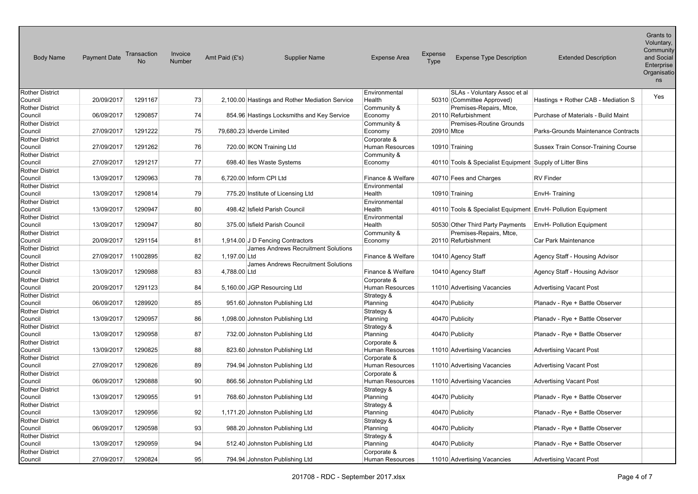| <b>Body Name</b>                  | <b>Payment Date</b> | Transaction<br>No | Invoice<br><b>Number</b> | Amt Paid (£'s)            | <b>Supplier Name</b>                           | <b>Expense Area</b>    | Expense<br>Type | <b>Expense Type Description</b>                              | <b>Extended Description</b>                | Grants to<br>Voluntary,<br>Community<br>and Social<br>Enterprise<br>Organisatio<br>ns |
|-----------------------------------|---------------------|-------------------|--------------------------|---------------------------|------------------------------------------------|------------------------|-----------------|--------------------------------------------------------------|--------------------------------------------|---------------------------------------------------------------------------------------|
| <b>Rother District</b>            |                     |                   |                          |                           |                                                | Environmental          |                 | SLAs - Voluntary Assoc et al                                 |                                            | Yes                                                                                   |
| Council                           | 20/09/2017          | 1291167           | 73                       |                           | 2,100.00 Hastings and Rother Mediation Service | Health                 |                 | 50310 (Committee Approved)                                   | Hastings + Rother CAB - Mediation S        |                                                                                       |
| <b>Rother District</b><br>Council | 06/09/2017          | 1290857           | 74                       |                           |                                                | Community &            |                 | Premises-Repairs, Mtce,<br>20110 Refurbishment               |                                            |                                                                                       |
|                                   |                     |                   |                          |                           | 854.96 Hastings Locksmiths and Key Service     | Economy<br>Community & |                 | Premises-Routine Grounds                                     | Purchase of Materials - Build Maint        |                                                                                       |
| <b>Rother District</b><br>Council | 27/09/2017          | 1291222           | 75                       | 79,680.23 Idverde Limited |                                                | Economy                | 20910 Mtce      |                                                              | Parks-Grounds Maintenance Contracts        |                                                                                       |
| <b>Rother District</b>            |                     |                   |                          |                           |                                                | Corporate &            |                 |                                                              |                                            |                                                                                       |
| Council                           | 27/09/2017          | 1291262           | 76                       |                           | 720.00 IKON Training Ltd                       | Human Resources        |                 | 10910 Training                                               | <b>Sussex Train Consor-Training Course</b> |                                                                                       |
| <b>Rother District</b>            |                     |                   |                          |                           |                                                | Community &            |                 |                                                              |                                            |                                                                                       |
| Council                           | 27/09/2017          | 1291217           | 77                       |                           | 698.40 Iles Waste Systems                      | Economy                |                 | 40110 Tools & Specialist Equipment Supply of Litter Bins     |                                            |                                                                                       |
| <b>Rother District</b>            |                     |                   |                          |                           |                                                |                        |                 |                                                              |                                            |                                                                                       |
| Council                           | 13/09/2017          | 1290963           | 78                       | 6,720.00 Inform CPI Ltd   |                                                | Finance & Welfare      |                 | 40710 Fees and Charges                                       | <b>RV Finder</b>                           |                                                                                       |
| <b>Rother District</b>            |                     |                   |                          |                           |                                                | Environmental          |                 |                                                              |                                            |                                                                                       |
| Council                           | 13/09/2017          | 1290814           | 79                       |                           | 775.20 Institute of Licensing Ltd              | Health                 |                 | 10910 Training                                               | EnvH-Training                              |                                                                                       |
| <b>Rother District</b>            |                     |                   |                          |                           |                                                | Environmental          |                 |                                                              |                                            |                                                                                       |
| Council                           | 13/09/2017          | 1290947           | 80                       |                           | 498.42 Isfield Parish Council                  | Health                 |                 | 40110 Tools & Specialist Equipment EnvH- Pollution Equipment |                                            |                                                                                       |
| <b>Rother District</b>            |                     |                   |                          |                           |                                                | Environmental          |                 |                                                              |                                            |                                                                                       |
| Council                           | 13/09/2017          | 1290947           | 80                       |                           | 375.00 Isfield Parish Council                  | Health                 |                 | 50530 Other Third Party Payments                             | <b>EnvH- Pollution Equipment</b>           |                                                                                       |
| <b>Rother District</b>            |                     |                   |                          |                           |                                                | Community &            |                 | Premises-Repairs, Mtce,                                      |                                            |                                                                                       |
| Council                           | 20/09/2017          | 1291154           | 81                       |                           | 1,914.00 J D Fencing Contractors               | Economy                |                 | 20110 Refurbishment                                          | Car Park Maintenance                       |                                                                                       |
| <b>Rother District</b>            |                     |                   |                          |                           | James Andrews Recruitment Solutions            |                        |                 |                                                              |                                            |                                                                                       |
| Council                           | 27/09/2017          | 11002895          | 82                       | 1.197.00 Ltd              |                                                | Finance & Welfare      |                 | 10410 Agency Staff                                           | Agency Staff - Housing Advisor             |                                                                                       |
| <b>Rother District</b>            |                     |                   |                          |                           | James Andrews Recruitment Solutions            |                        |                 |                                                              |                                            |                                                                                       |
| Council                           | 13/09/2017          | 1290988           | 83                       | 4,788.00 Ltd              |                                                | Finance & Welfare      |                 | 10410 Agency Staff                                           | Agency Staff - Housing Advisor             |                                                                                       |
| <b>Rother District</b>            |                     |                   |                          |                           |                                                | Corporate &            |                 |                                                              |                                            |                                                                                       |
| Council                           | 20/09/2017          | 1291123           | 84                       |                           | 5,160.00 JGP Resourcing Ltd                    | <b>Human Resources</b> |                 | 11010 Advertising Vacancies                                  | <b>Advertising Vacant Post</b>             |                                                                                       |
| <b>Rother District</b>            |                     |                   |                          |                           |                                                | Strategy &             |                 |                                                              |                                            |                                                                                       |
| Council                           | 06/09/2017          | 1289920           | 85                       |                           | 951.60 Johnston Publishing Ltd                 | Planning               |                 | 40470 Publicity                                              | Planady - Rye + Battle Observer            |                                                                                       |
| <b>Rother District</b><br>Council | 13/09/2017          | 1290957           | 86                       |                           | 1,098.00 Johnston Publishing Ltd               | Strategy &<br>Planning |                 | 40470 Publicity                                              | Planady - Rye + Battle Observer            |                                                                                       |
| <b>Rother District</b>            |                     |                   |                          |                           |                                                | Strategy &             |                 |                                                              |                                            |                                                                                       |
| Council                           | 13/09/2017          | 1290958           | 87                       |                           | 732.00 Johnston Publishing Ltd                 | Planning               |                 | 40470 Publicity                                              | Planady - Rye + Battle Observer            |                                                                                       |
| <b>Rother District</b>            |                     |                   |                          |                           |                                                | Corporate &            |                 |                                                              |                                            |                                                                                       |
| Council                           | 13/09/2017          | 1290825           | 88                       |                           | 823.60 Johnston Publishing Ltd                 | Human Resources        |                 | 11010 Advertising Vacancies                                  | <b>Advertising Vacant Post</b>             |                                                                                       |
| <b>Rother District</b>            |                     |                   |                          |                           |                                                | Corporate &            |                 |                                                              |                                            |                                                                                       |
| Council                           | 27/09/2017          | 1290826           | 89                       |                           | 794.94 Johnston Publishing Ltd                 | <b>Human Resources</b> |                 | 11010 Advertising Vacancies                                  | <b>Advertising Vacant Post</b>             |                                                                                       |
| <b>Rother District</b>            |                     |                   |                          |                           |                                                | Corporate &            |                 |                                                              |                                            |                                                                                       |
| Council                           | 06/09/2017          | 1290888           | 90                       |                           | 866.56 Johnston Publishing Ltd                 | <b>Human Resources</b> |                 | 11010 Advertising Vacancies                                  | <b>Advertising Vacant Post</b>             |                                                                                       |
| <b>Rother District</b>            |                     |                   |                          |                           |                                                | Strategy &             |                 |                                                              |                                            |                                                                                       |
| Council                           | 13/09/2017          | 1290955           | 91                       |                           | 768.60 Johnston Publishing Ltd                 | Planning               |                 | 40470 Publicity                                              | Planadv - Rye + Battle Observer            |                                                                                       |
| <b>Rother District</b>            |                     |                   |                          |                           |                                                | Strategy &             |                 |                                                              |                                            |                                                                                       |
| Council                           | 13/09/2017          | 1290956           | 92                       |                           | 1,171.20 Johnston Publishing Ltd               | Planning               |                 | 40470 Publicity                                              | Planadv - Rye + Battle Observer            |                                                                                       |
| <b>Rother District</b>            |                     |                   |                          |                           |                                                | Strategy &             |                 |                                                              |                                            |                                                                                       |
| Council                           | 06/09/2017          | 1290598           | 93                       |                           | 988.20 Johnston Publishing Ltd                 | Planning               |                 | 40470 Publicity                                              | Planady - Rye + Battle Observer            |                                                                                       |
| <b>Rother District</b>            |                     |                   |                          |                           |                                                | Strategy &             |                 |                                                              |                                            |                                                                                       |
| Council                           | 13/09/2017          | 1290959           | 94                       |                           | 512.40 Johnston Publishing Ltd                 | Planning               |                 | 40470 Publicity                                              | Planadv - Rye + Battle Observer            |                                                                                       |
| <b>Rother District</b>            |                     |                   |                          |                           |                                                | Corporate &            |                 |                                                              |                                            |                                                                                       |
| Council                           | 27/09/2017          | 1290824           | 95                       |                           | 794.94 Johnston Publishing Ltd                 | <b>Human Resources</b> |                 | 11010 Advertising Vacancies                                  | <b>Advertising Vacant Post</b>             |                                                                                       |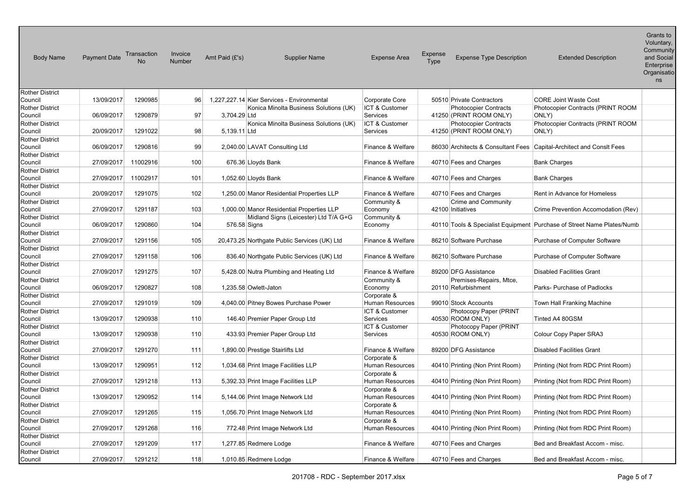| <b>Body Name</b>                  | <b>Payment Date</b> | Transaction<br>No | Invoice<br><b>Number</b> | Amt Paid (£'s)<br><b>Supplier Name</b>       | <b>Expense Area</b>              | <b>Expense</b><br><b>Expense Type Description</b><br>Type            | <b>Extended Description</b>                                            | Grants to<br>Voluntary,<br>Community<br>and Social<br>Enterprise<br>Organisatio<br>ns |
|-----------------------------------|---------------------|-------------------|--------------------------|----------------------------------------------|----------------------------------|----------------------------------------------------------------------|------------------------------------------------------------------------|---------------------------------------------------------------------------------------|
| <b>Rother District</b><br>Council | 13/09/2017          | 1290985           | 96                       | 1,227,227.14 Kier Services - Environmental   | Corporate Core                   | 50510 Private Contractors                                            | <b>CORE Joint Waste Cost</b>                                           |                                                                                       |
| <b>Rother District</b>            |                     |                   |                          | Konica Minolta Business Solutions (UK)       | ICT & Customer                   | <b>Photocopier Contracts</b>                                         | Photocopier Contracts (PRINT ROOM                                      |                                                                                       |
| Council                           | 06/09/2017          | 1290879           | 97                       | 3,704.29 Ltd                                 | Services                         | 41250 (PRINT ROOM ONLY)                                              | ONLY)                                                                  |                                                                                       |
| <b>Rother District</b>            |                     |                   |                          | Konica Minolta Business Solutions (UK)       | ICT & Customer                   | <b>Photocopier Contracts</b>                                         | Photocopier Contracts (PRINT ROOM                                      |                                                                                       |
| Council                           | 20/09/2017          | 1291022           | 98                       | 5,139.11 Ltd                                 | Services                         | 41250 (PRINT ROOM ONLY)                                              | ONLY)                                                                  |                                                                                       |
| <b>Rother District</b>            |                     |                   |                          |                                              |                                  |                                                                      |                                                                        |                                                                                       |
| Council                           | 06/09/2017          | 1290816           | 99                       | 2,040.00 LAVAT Consulting Ltd                | Finance & Welfare                | 86030 Architects & Consultant Fees Capital-Architect and Consit Fees |                                                                        |                                                                                       |
| <b>Rother District</b>            |                     |                   |                          |                                              |                                  |                                                                      |                                                                        |                                                                                       |
| Council                           | 27/09/2017          | 11002916          | 100                      | 676.36 Lloyds Bank                           | Finance & Welfare                | 40710 Fees and Charges                                               | <b>Bank Charges</b>                                                    |                                                                                       |
| <b>Rother District</b>            |                     |                   |                          |                                              |                                  |                                                                      |                                                                        |                                                                                       |
| Council                           | 27/09/2017          | 11002917          | 101                      | 1,052.60 Lloyds Bank                         | Finance & Welfare                | 40710 Fees and Charges                                               | <b>Bank Charges</b>                                                    |                                                                                       |
| <b>Rother District</b>            |                     |                   |                          |                                              |                                  |                                                                      |                                                                        |                                                                                       |
| Council<br><b>Rother District</b> | 20/09/2017          | 1291075           | 102                      | 1,250.00 Manor Residential Properties LLP    | Finance & Welfare<br>Community & | 40710 Fees and Charges<br>Crime and Community                        | Rent in Advance for Homeless                                           |                                                                                       |
| Council                           | 27/09/2017          | 1291187           | 103                      | 1,000.00 Manor Residential Properties LLP    | Economy                          | 42100 Initiatives                                                    | Crime Prevention Accomodation (Rev)                                    |                                                                                       |
| <b>Rother District</b>            |                     |                   |                          | Midland Signs (Leicester) Ltd T/A G+G        | Community &                      |                                                                      |                                                                        |                                                                                       |
| Council                           | 06/09/2017          | 1290860           | 104                      | 576.58 Signs                                 | Economy                          |                                                                      | 40110 Tools & Specialist Equipment Purchase of Street Name Plates/Numb |                                                                                       |
| <b>Rother District</b>            |                     |                   |                          |                                              |                                  |                                                                      |                                                                        |                                                                                       |
| Council                           | 27/09/2017          | 1291156           | 105                      | 20,473.25 Northgate Public Services (UK) Ltd | Finance & Welfare                | 86210 Software Purchase                                              | Purchase of Computer Software                                          |                                                                                       |
| <b>Rother District</b>            |                     |                   |                          |                                              |                                  |                                                                      |                                                                        |                                                                                       |
| Council                           | 27/09/2017          | 1291158           | 106                      | 836.40 Northgate Public Services (UK) Ltd    | Finance & Welfare                | 86210 Software Purchase                                              | Purchase of Computer Software                                          |                                                                                       |
| <b>Rother District</b>            |                     |                   |                          |                                              |                                  |                                                                      |                                                                        |                                                                                       |
| Council                           | 27/09/2017          | 1291275           | 107                      | 5,428.00 Nutra Plumbing and Heating Ltd      | Finance & Welfare                | 89200 DFG Assistance                                                 | <b>Disabled Facilities Grant</b>                                       |                                                                                       |
| <b>Rother District</b><br>Council | 06/09/2017          | 1290827           | 108                      | 1,235.58 Owlett-Jaton                        | Community &<br>Economy           | Premises-Repairs, Mtce,<br>20110 Refurbishment                       | Parks- Purchase of Padlocks                                            |                                                                                       |
| <b>Rother District</b>            |                     |                   |                          |                                              | Corporate &                      |                                                                      |                                                                        |                                                                                       |
| Council                           | 27/09/2017          | 1291019           | 109                      | 4,040.00 Pitney Bowes Purchase Power         | Human Resources                  | 99010 Stock Accounts                                                 | Town Hall Franking Machine                                             |                                                                                       |
| <b>Rother District</b>            |                     |                   |                          |                                              | ICT & Customer                   | Photocopy Paper (PRINT                                               |                                                                        |                                                                                       |
| Council                           | 13/09/2017          | 1290938           | 110                      | 146.40 Premier Paper Group Ltd               | Services                         | 40530 ROOM ONLY)                                                     | Tinted A4 80GSM                                                        |                                                                                       |
| <b>Rother District</b>            |                     |                   |                          |                                              | ICT & Customer                   | Photocopy Paper (PRINT                                               |                                                                        |                                                                                       |
| Council                           | 13/09/2017          | 1290938           | 110                      | 433.93 Premier Paper Group Ltd               | Services                         | 40530 ROOM ONLY)                                                     | Colour Copy Paper SRA3                                                 |                                                                                       |
| <b>Rother District</b>            |                     |                   |                          |                                              |                                  |                                                                      |                                                                        |                                                                                       |
| Council                           | 27/09/2017          | 1291270           | 111                      | 1,890.00 Prestige Stairlifts Ltd             | Finance & Welfare                | 89200 DFG Assistance                                                 | <b>Disabled Facilities Grant</b>                                       |                                                                                       |
| <b>Rother District</b>            |                     |                   |                          |                                              | Corporate &                      |                                                                      |                                                                        |                                                                                       |
| Council                           | 13/09/2017          | 1290951           | 112                      | 1,034.68 Print Image Facilities LLP          | Human Resources                  | 40410 Printing (Non Print Room)                                      | Printing (Not from RDC Print Room)                                     |                                                                                       |
| <b>Rother District</b><br>Council | 27/09/2017          | 1291218           | 113                      | 5,392.33 Print Image Facilities LLP          | Corporate &<br>Human Resources   | 40410 Printing (Non Print Room)                                      | Printing (Not from RDC Print Room)                                     |                                                                                       |
| <b>Rother District</b>            |                     |                   |                          |                                              | Corporate &                      |                                                                      |                                                                        |                                                                                       |
| Council                           | 13/09/2017          | 1290952           | 114                      | 5,144.06 Print Image Network Ltd             | Human Resources                  | 40410 Printing (Non Print Room)                                      | Printing (Not from RDC Print Room)                                     |                                                                                       |
| <b>Rother District</b>            |                     |                   |                          |                                              | Corporate &                      |                                                                      |                                                                        |                                                                                       |
| Council                           | 27/09/2017          | 1291265           | 115                      | 1,056.70 Print Image Network Ltd             | Human Resources                  | 40410 Printing (Non Print Room)                                      | Printing (Not from RDC Print Room)                                     |                                                                                       |
| <b>Rother District</b>            |                     |                   |                          |                                              | Corporate &                      |                                                                      |                                                                        |                                                                                       |
| Council                           | 27/09/2017          | 1291268           | 116                      | 772.48 Print Image Network Ltd               | Human Resources                  | 40410 Printing (Non Print Room)                                      | Printing (Not from RDC Print Room)                                     |                                                                                       |
| Rother District                   |                     |                   |                          |                                              |                                  |                                                                      |                                                                        |                                                                                       |
| Council                           | 27/09/2017          | 1291209           | 117                      | 1,277.85 Redmere Lodge                       | Finance & Welfare                | 40710 Fees and Charges                                               | Bed and Breakfast Accom - misc.                                        |                                                                                       |
| <b>Rother District</b>            |                     |                   |                          |                                              |                                  |                                                                      |                                                                        |                                                                                       |
| Council                           | 27/09/2017          | 1291212           | 118                      | 1,010.85 Redmere Lodge                       | Finance & Welfare                | 40710 Fees and Charges                                               | Bed and Breakfast Accom - misc.                                        |                                                                                       |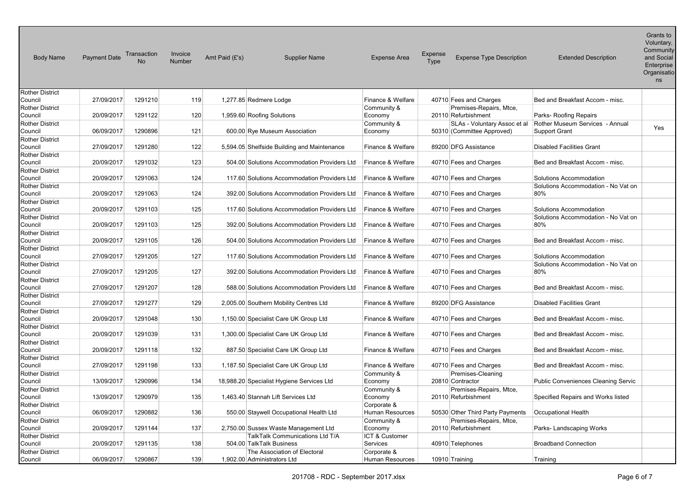| <b>Body Name</b>                  | <b>Payment Date</b> | Transaction<br>No | Invoice<br><b>Number</b> | Amt Paid (£'s)<br><b>Supplier Name</b>       | <b>Expense Area</b>    | <b>Expense</b><br><b>Expense Type Description</b><br>Type | <b>Extended Description</b>         | Grants to<br>Voluntary,<br>Community<br>and Social<br>Enterprise<br>Organisatio<br>ns |
|-----------------------------------|---------------------|-------------------|--------------------------|----------------------------------------------|------------------------|-----------------------------------------------------------|-------------------------------------|---------------------------------------------------------------------------------------|
| <b>Rother District</b><br>Council | 27/09/2017          | 1291210           | 119                      | 1,277.85 Redmere Lodge                       | Finance & Welfare      | 40710 Fees and Charges                                    | Bed and Breakfast Accom - misc.     |                                                                                       |
| <b>Rother District</b>            |                     |                   |                          |                                              | Community &            | Premises-Repairs, Mtce,                                   |                                     |                                                                                       |
| Council                           | 20/09/2017          | 1291122           | 120                      | 1,959.60 Roofing Solutions                   | Economy                | 20110 Refurbishment                                       | Parks-Roofing Repairs               |                                                                                       |
| <b>Rother District</b>            |                     |                   |                          |                                              | Community &            | SLAs - Voluntary Assoc et al                              | Rother Museum Services - Annual     |                                                                                       |
| Council                           | 06/09/2017          | 1290896           | 121                      | 600.00 Rye Museum Association                | Economy                | 50310 (Committee Approved)                                | <b>Support Grant</b>                | Yes                                                                                   |
| <b>Rother District</b>            |                     |                   |                          |                                              |                        |                                                           |                                     |                                                                                       |
| Council                           | 27/09/2017          | 1291280           | 122                      | 5,594.05 Shelfside Building and Maintenance  | Finance & Welfare      | 89200 DFG Assistance                                      | <b>Disabled Facilities Grant</b>    |                                                                                       |
| <b>Rother District</b>            |                     |                   |                          |                                              |                        |                                                           |                                     |                                                                                       |
| Council                           | 20/09/2017          | 1291032           | 123                      | 504.00 Solutions Accommodation Providers Ltd | Finance & Welfare      | 40710 Fees and Charges                                    | Bed and Breakfast Accom - misc.     |                                                                                       |
| <b>Rother District</b>            |                     |                   |                          |                                              |                        |                                                           |                                     |                                                                                       |
| Council                           | 20/09/2017          | 1291063           | 124                      | 117.60 Solutions Accommodation Providers Ltd | Finance & Welfare      | 40710 Fees and Charges                                    | Solutions Accommodation             |                                                                                       |
| <b>Rother District</b>            |                     |                   | 124                      |                                              |                        |                                                           | Solutions Accommodation - No Vat on |                                                                                       |
| Council<br><b>Rother District</b> | 20/09/2017          | 1291063           |                          | 392.00 Solutions Accommodation Providers Ltd | Finance & Welfare      | 40710 Fees and Charges                                    | 80%                                 |                                                                                       |
| Council                           | 20/09/2017          | 1291103           | 125                      | 117.60 Solutions Accommodation Providers Ltd | Finance & Welfare      | 40710 Fees and Charges                                    | Solutions Accommodation             |                                                                                       |
| <b>Rother District</b>            |                     |                   |                          |                                              |                        |                                                           | Solutions Accommodation - No Vat on |                                                                                       |
| Council                           | 20/09/2017          | 1291103           | 125                      | 392.00 Solutions Accommodation Providers Ltd | Finance & Welfare      | 40710 Fees and Charges                                    | 80%                                 |                                                                                       |
| <b>Rother District</b>            |                     |                   |                          |                                              |                        |                                                           |                                     |                                                                                       |
| Council                           | 20/09/2017          | 1291105           | 126                      | 504.00 Solutions Accommodation Providers Ltd | Finance & Welfare      | 40710 Fees and Charges                                    | Bed and Breakfast Accom - misc.     |                                                                                       |
| <b>Rother District</b>            |                     |                   |                          |                                              |                        |                                                           |                                     |                                                                                       |
| Council                           | 27/09/2017          | 1291205           | 127                      | 117.60 Solutions Accommodation Providers Ltd | Finance & Welfare      | 40710 Fees and Charges                                    | Solutions Accommodation             |                                                                                       |
| <b>Rother District</b>            |                     |                   |                          |                                              |                        |                                                           | Solutions Accommodation - No Vat on |                                                                                       |
| Council                           | 27/09/2017          | 1291205           | 127                      | 392.00 Solutions Accommodation Providers Ltd | Finance & Welfare      | 40710 Fees and Charges                                    | 80%                                 |                                                                                       |
| <b>Rother District</b>            |                     |                   | 128                      |                                              |                        |                                                           |                                     |                                                                                       |
| Council<br><b>Rother District</b> | 27/09/2017          | 1291207           |                          | 588.00 Solutions Accommodation Providers Ltd | Finance & Welfare      | 40710 Fees and Charges                                    | Bed and Breakfast Accom - misc.     |                                                                                       |
| Council                           | 27/09/2017          | 1291277           | 129                      | 2,005.00 Southern Mobility Centres Ltd       | Finance & Welfare      | 89200 DFG Assistance                                      | <b>Disabled Facilities Grant</b>    |                                                                                       |
| <b>Rother District</b>            |                     |                   |                          |                                              |                        |                                                           |                                     |                                                                                       |
| Council                           | 20/09/2017          | 1291048           | 130                      | 1,150.00 Specialist Care UK Group Ltd        | Finance & Welfare      | 40710 Fees and Charges                                    | Bed and Breakfast Accom - misc.     |                                                                                       |
| <b>Rother District</b>            |                     |                   |                          |                                              |                        |                                                           |                                     |                                                                                       |
| Council                           | 20/09/2017          | 1291039           | 131                      | 1,300.00 Specialist Care UK Group Ltd        | Finance & Welfare      | 40710 Fees and Charges                                    | Bed and Breakfast Accom - misc.     |                                                                                       |
| <b>Rother District</b>            |                     |                   |                          |                                              |                        |                                                           |                                     |                                                                                       |
| Council                           | 20/09/2017          | 1291118           | 132                      | 887.50 Specialist Care UK Group Ltd          | Finance & Welfare      | 40710 Fees and Charges                                    | Bed and Breakfast Accom - misc.     |                                                                                       |
| <b>Rother District</b>            |                     |                   |                          |                                              |                        |                                                           |                                     |                                                                                       |
| Council                           | 27/09/2017          | 1291198           | 133                      | 1,187.50 Specialist Care UK Group Ltd        | Finance & Welfare      | 40710 Fees and Charges                                    | Bed and Breakfast Accom - misc.     |                                                                                       |
| <b>Rother District</b>            |                     |                   |                          |                                              | Community &            | Premises-Cleaning                                         |                                     |                                                                                       |
| Council                           | 13/09/2017          | 1290996           | 134                      | 18,988.20 Specialist Hygiene Services Ltd    | Economy                | 20810 Contractor                                          | Public Conveniences Cleaning Servic |                                                                                       |
| <b>Rother District</b><br>Council | 13/09/2017          | 1290979           | 135                      | 1.463.40 Stannah Lift Services Ltd           | Community &<br>Economy | Premises-Repairs, Mtce,<br>20110 Refurbishment            | Specified Repairs and Works listed  |                                                                                       |
| <b>Rother District</b>            |                     |                   |                          |                                              | Corporate &            |                                                           |                                     |                                                                                       |
| Council                           | 06/09/2017          | 1290882           | 136                      | 550.00 Staywell Occupational Health Ltd      | Human Resources        | 50530 Other Third Party Payments                          | Occupational Health                 |                                                                                       |
| <b>Rother District</b>            |                     |                   |                          |                                              | Community &            | Premises-Repairs, Mtce,                                   |                                     |                                                                                       |
| Council                           | 20/09/2017          | 1291144           | 137                      | 2,750.00 Sussex Waste Management Ltd         | Economy                | 20110 Refurbishment                                       | Parks-Landscaping Works             |                                                                                       |
| Rother District                   |                     |                   |                          | TalkTalk Communications Ltd T/A              | ICT & Customer         |                                                           |                                     |                                                                                       |
| Council                           | 20/09/2017          | 1291135           | 138                      | 504.00 TalkTalk Business                     | Services               | 40910 Telephones                                          | <b>Broadband Connection</b>         |                                                                                       |
| <b>Rother District</b>            |                     |                   |                          | The Association of Electoral                 | Corporate &            |                                                           |                                     |                                                                                       |
| Council                           | 06/09/2017          | 1290867           | 139                      | 1.902.00 Administrators Ltd                  | <b>Human Resources</b> | 10910 Training                                            | Training                            |                                                                                       |